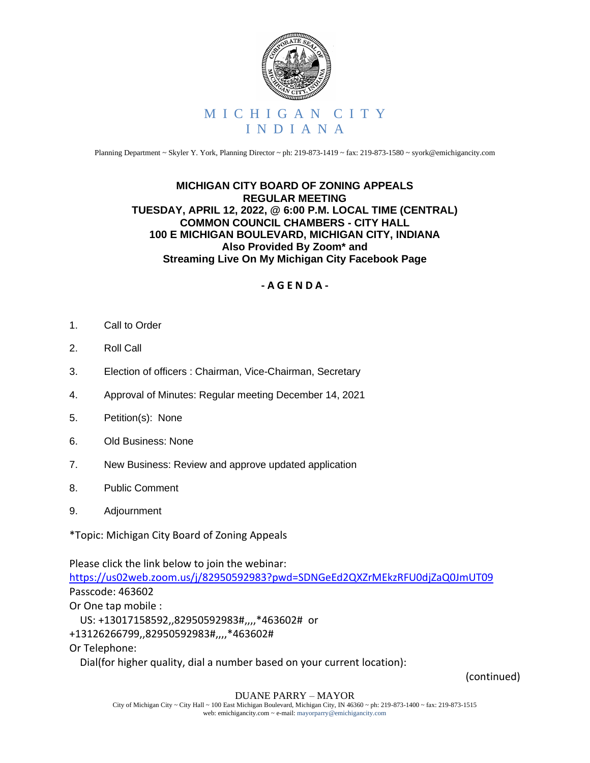

Planning Department ~ Skyler Y. York, Planning Director ~ ph: 219-873-1419 ~ fax: 219-873-1580 ~ syork@emichigancity.com

## **MICHIGAN CITY BOARD OF ZONING APPEALS REGULAR MEETING TUESDAY, APRIL 12, 2022, @ 6:00 P.M. LOCAL TIME (CENTRAL) COMMON COUNCIL CHAMBERS - CITY HALL 100 E MICHIGAN BOULEVARD, MICHIGAN CITY, INDIANA Also Provided By Zoom\* and Streaming Live On My Michigan City Facebook Page**

## **- A G E N D A -**

- 1. Call to Order
- 2. Roll Call
- 3. Election of officers : Chairman, Vice-Chairman, Secretary
- 4. Approval of Minutes: Regular meeting December 14, 2021
- 5. Petition(s): None
- 6. Old Business: None
- 7. New Business: Review and approve updated application
- 8. Public Comment
- 9. Adjournment

\*Topic: Michigan City Board of Zoning Appeals

Please click the link below to join the webinar:

<https://us02web.zoom.us/j/82950592983?pwd=SDNGeEd2QXZrMEkzRFU0djZaQ0JmUT09> Passcode: 463602

Or One tap mobile :

US: +13017158592,,82950592983#,,,,\*463602# or

+13126266799,,82950592983#,,,,\*463602#

Or Telephone:

Dial(for higher quality, dial a number based on your current location):

(continued)

DUANE PARRY – MAYOR

City of Michigan City ~ City Hall ~ 100 East Michigan Boulevard, Michigan City, IN 46360 ~ ph: 219-873-1400 ~ fax: 219-873-1515 web: emichigancity.com ~ e-mail: mayorparry@emichigancity.com